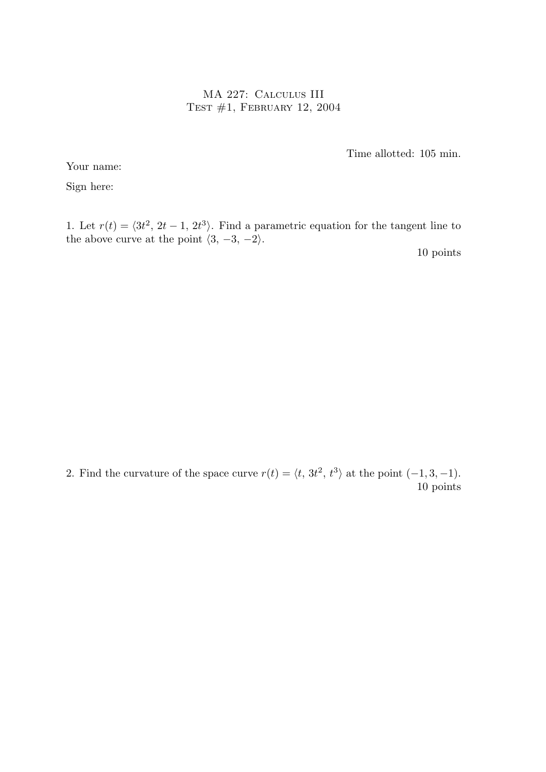MA 227: Calculus III Test #1, February 12, 2004

Time allotted: 105 min.

Your name:

Sign here:

1. Let  $r(t) = \langle 3t^2, 2t - 1, 2t^3 \rangle$ . Find a parametric equation for the tangent line to the above curve at the point  $\langle 3, -3, -2 \rangle$ .

10 points

2. Find the curvature of the space curve  $r(t) = \langle t, 3t^2, t^3 \rangle$  at the point  $(-1, 3, -1)$ . 10 points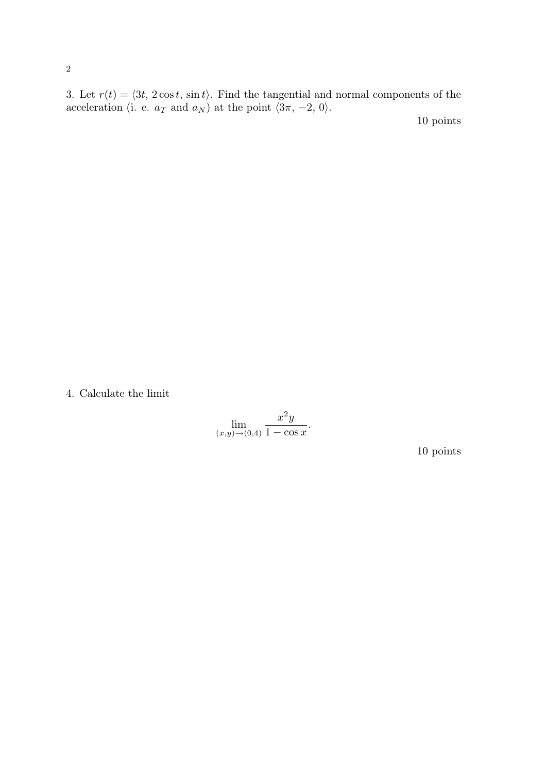3. Let  $r(t) = \langle 3t, 2 \cos t, \sin t \rangle$ . Find the tangential and normal components of the acceleration (i. e.  $a_T$  and  $a_N$ ) at the point  $\langle 3\pi, -2, 0 \rangle$ .

10 points

4. Calculate the limit

$$
\lim_{(x,y)\to(0,4)}\frac{x^2y}{1-\cos x}.
$$

10 points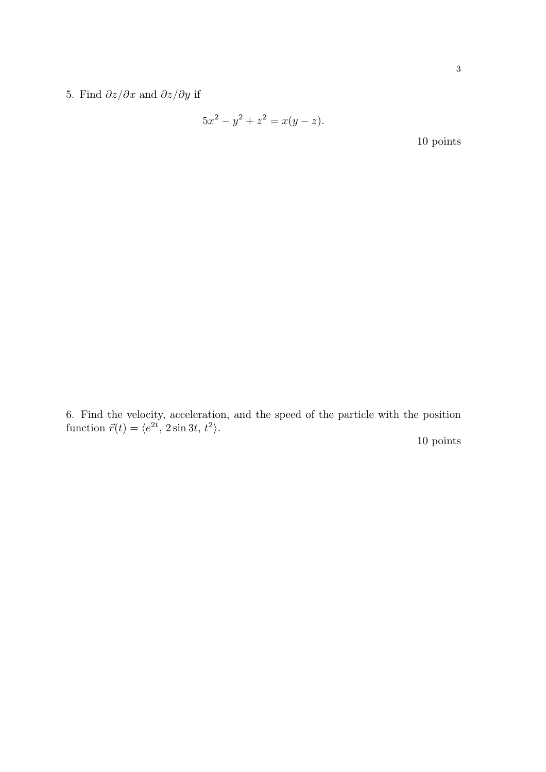5. Find  $\partial z/\partial x$  and  $\partial z/\partial y$  if

$$
5x^2 - y^2 + z^2 = x(y - z).
$$

10 points

6. Find the velocity, acceleration, and the speed of the particle with the position function  $\vec{r}(t) = \langle e^{2t}, 2\sin 3t, t^2 \rangle$ .

10 points